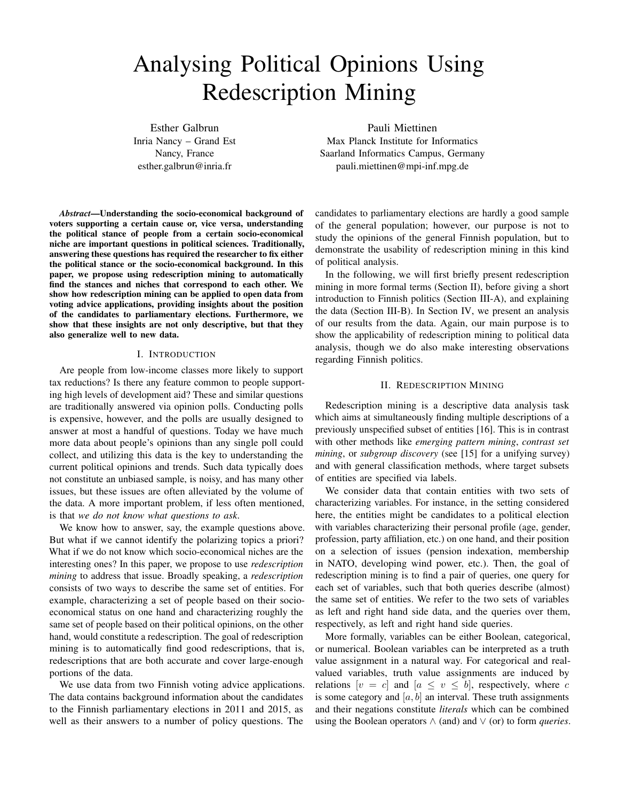# Analysing Political Opinions Using Redescription Mining

Esther Galbrun Inria Nancy – Grand Est Nancy, France esther.galbrun@inria.fr

*Abstract*—Understanding the socio-economical background of voters supporting a certain cause or, vice versa, understanding the political stance of people from a certain socio-economical niche are important questions in political sciences. Traditionally, answering these questions has required the researcher to fix either the political stance or the socio-economical background. In this paper, we propose using redescription mining to automatically find the stances and niches that correspond to each other. We show how redescription mining can be applied to open data from voting advice applications, providing insights about the position of the candidates to parliamentary elections. Furthermore, we show that these insights are not only descriptive, but that they also generalize well to new data.

## I. INTRODUCTION

Are people from low-income classes more likely to support tax reductions? Is there any feature common to people supporting high levels of development aid? These and similar questions are traditionally answered via opinion polls. Conducting polls is expensive, however, and the polls are usually designed to answer at most a handful of questions. Today we have much more data about people's opinions than any single poll could collect, and utilizing this data is the key to understanding the current political opinions and trends. Such data typically does not constitute an unbiased sample, is noisy, and has many other issues, but these issues are often alleviated by the volume of the data. A more important problem, if less often mentioned, is that *we do not know what questions to ask*.

We know how to answer, say, the example questions above. But what if we cannot identify the polarizing topics a priori? What if we do not know which socio-economical niches are the interesting ones? In this paper, we propose to use *redescription mining* to address that issue. Broadly speaking, a *redescription* consists of two ways to describe the same set of entities. For example, characterizing a set of people based on their socioeconomical status on one hand and characterizing roughly the same set of people based on their political opinions, on the other hand, would constitute a redescription. The goal of redescription mining is to automatically find good redescriptions, that is, redescriptions that are both accurate and cover large-enough portions of the data.

We use data from two Finnish voting advice applications. The data contains background information about the candidates to the Finnish parliamentary elections in 2011 and 2015, as well as their answers to a number of policy questions. The

Pauli Miettinen Max Planck Institute for Informatics Saarland Informatics Campus, Germany pauli.miettinen@mpi-inf.mpg.de

candidates to parliamentary elections are hardly a good sample of the general population; however, our purpose is not to study the opinions of the general Finnish population, but to demonstrate the usability of redescription mining in this kind of political analysis.

In the following, we will first briefly present redescription mining in more formal terms (Section II), before giving a short introduction to Finnish politics (Section III-A), and explaining the data (Section III-B). In Section IV, we present an analysis of our results from the data. Again, our main purpose is to show the applicability of redescription mining to political data analysis, though we do also make interesting observations regarding Finnish politics.

## II. REDESCRIPTION MINING

Redescription mining is a descriptive data analysis task which aims at simultaneously finding multiple descriptions of a previously unspecified subset of entities [16]. This is in contrast with other methods like *emerging pattern mining*, *contrast set mining*, or *subgroup discovery* (see [15] for a unifying survey) and with general classification methods, where target subsets of entities are specified via labels.

We consider data that contain entities with two sets of characterizing variables. For instance, in the setting considered here, the entities might be candidates to a political election with variables characterizing their personal profile (age, gender, profession, party affiliation, etc.) on one hand, and their position on a selection of issues (pension indexation, membership in NATO, developing wind power, etc.). Then, the goal of redescription mining is to find a pair of queries, one query for each set of variables, such that both queries describe (almost) the same set of entities. We refer to the two sets of variables as left and right hand side data, and the queries over them, respectively, as left and right hand side queries.

More formally, variables can be either Boolean, categorical, or numerical. Boolean variables can be interpreted as a truth value assignment in a natural way. For categorical and realvalued variables, truth value assignments are induced by relations  $[v = c]$  and  $[a \le v \le b]$ , respectively, where c is some category and  $[a, b]$  an interval. These truth assignments and their negations constitute *literals* which can be combined using the Boolean operators ∧ (and) and ∨ (or) to form *queries*.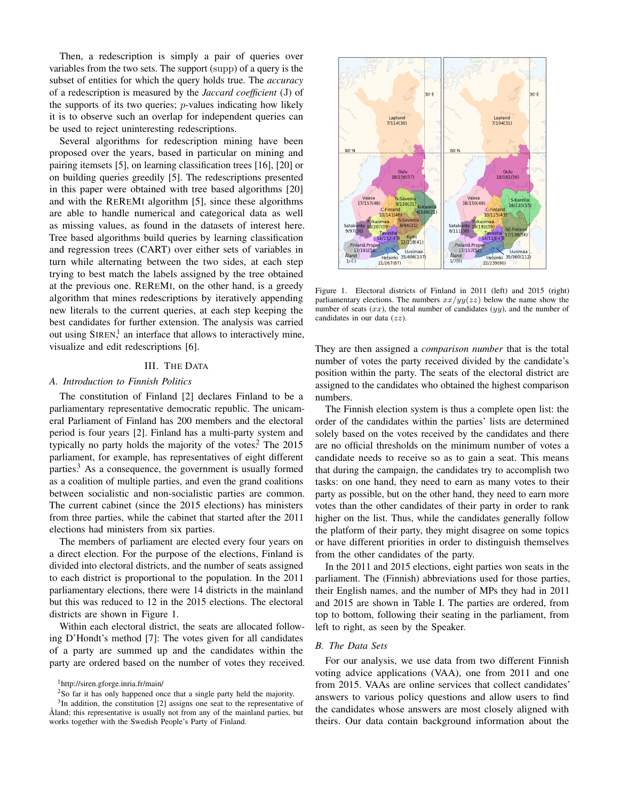Then, a redescription is simply a pair of queries over variables from the two sets. The support (supp) of a query is the subset of entities for which the query holds true. The *accuracy* of a redescription is measured by the *Jaccard coefficient* (J) of the supports of its two queries;  $p$ -values indicating how likely it is to observe such an overlap for independent queries can be used to reject uninteresting redescriptions.

Several algorithms for redescription mining have been proposed over the years, based in particular on mining and pairing itemsets [5], on learning classification trees [16], [20] or on building queries greedily [5]. The redescriptions presented in this paper were obtained with tree based algorithms [20] and with the REREMI algorithm [5], since these algorithms are able to handle numerical and categorical data as well as missing values, as found in the datasets of interest here. Tree based algorithms build queries by learning classification and regression trees (CART) over either sets of variables in turn while alternating between the two sides, at each step trying to best match the labels assigned by the tree obtained at the previous one. REREMI, on the other hand, is a greedy algorithm that mines redescriptions by iteratively appending new literals to the current queries, at each step keeping the best candidates for further extension. The analysis was carried out using SIREN,<sup>1</sup> an interface that allows to interactively mine, visualize and edit redescriptions [6].

#### III. THE DATA

#### *A. Introduction to Finnish Politics*

The constitution of Finland [2] declares Finland to be a parliamentary representative democratic republic. The unicameral Parliament of Finland has 200 members and the electoral period is four years [2]. Finland has a multi-party system and typically no party holds the majority of the votes.<sup>2</sup> The  $2015$ parliament, for example, has representatives of eight different parties.<sup>3</sup> As a consequence, the government is usually formed as a coalition of multiple parties, and even the grand coalitions between socialistic and non-socialistic parties are common. The current cabinet (since the 2015 elections) has ministers from three parties, while the cabinet that started after the 2011 elections had ministers from six parties.

The members of parliament are elected every four years on a direct election. For the purpose of the elections, Finland is divided into electoral districts, and the number of seats assigned to each district is proportional to the population. In the 2011 parliamentary elections, there were 14 districts in the mainland but this was reduced to 12 in the 2015 elections. The electoral districts are shown in Figure 1.

Within each electoral district, the seats are allocated following D'Hondt's method [7]: The votes given for all candidates of a party are summed up and the candidates within the party are ordered based on the number of votes they received.



Figure 1. Electoral districts of Finland in 2011 (left) and 2015 (right) parliamentary elections. The numbers  $xx/yy(zz)$  below the name show the number of seats  $(xx)$ , the total number of candidates  $(yy)$ , and the number of candidates in our data  $(zz)$ .

They are then assigned a *comparison number* that is the total number of votes the party received divided by the candidate's position within the party. The seats of the electoral district are assigned to the candidates who obtained the highest comparison numbers.

The Finnish election system is thus a complete open list: the order of the candidates within the parties' lists are determined solely based on the votes received by the candidates and there are no official thresholds on the minimum number of votes a candidate needs to receive so as to gain a seat. This means that during the campaign, the candidates try to accomplish two tasks: on one hand, they need to earn as many votes to their party as possible, but on the other hand, they need to earn more votes than the other candidates of their party in order to rank higher on the list. Thus, while the candidates generally follow the platform of their party, they might disagree on some topics or have different priorities in order to distinguish themselves from the other candidates of the party.

In the 2011 and 2015 elections, eight parties won seats in the parliament. The (Finnish) abbreviations used for those parties, their English names, and the number of MPs they had in 2011 and 2015 are shown in Table I. The parties are ordered, from top to bottom, following their seating in the parliament, from left to right, as seen by the Speaker.

### *B. The Data Sets*

For our analysis, we use data from two different Finnish voting advice applications (VAA), one from 2011 and one from 2015. VAAs are online services that collect candidates' answers to various policy questions and allow users to find the candidates whose answers are most closely aligned with theirs. Our data contain background information about the

<sup>1</sup>http://siren.gforge.inria.fr/main/

<sup>2</sup>So far it has only happened once that a single party held the majority.

<sup>&</sup>lt;sup>3</sup>In addition, the constitution [2] assigns one seat to the representative of Åland; this representative is usually not from any of the mainland parties, but works together with the Swedish People's Party of Finland.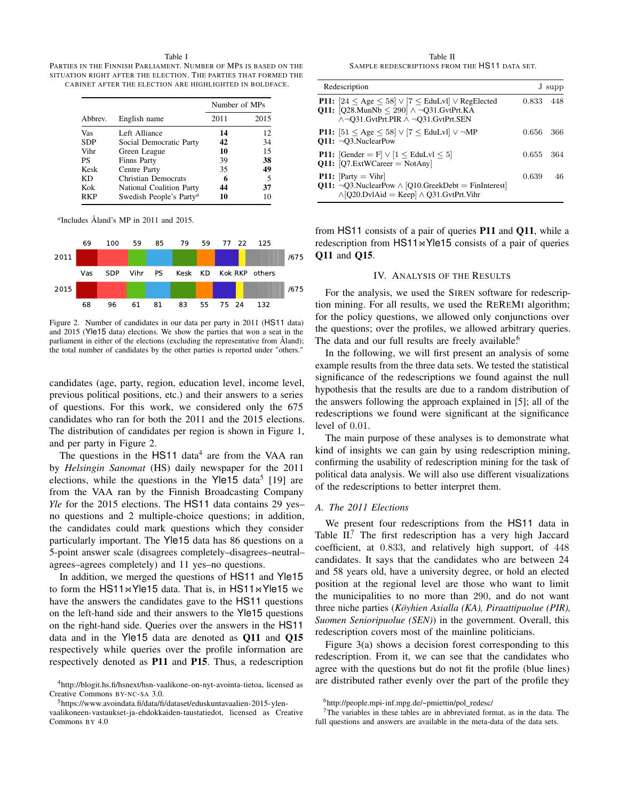Table I

PARTIES IN THE FINNISH PARLIAMENT. NUMBER OF MPS IS BASED ON THE SITUATION RIGHT AFTER THE ELECTION. THE PARTIES THAT FORMED THE CABINET AFTER THE ELECTION ARE HIGHLIGHTED IN BOLDFACE.

|            | English name                        | Number of MPs |      |
|------------|-------------------------------------|---------------|------|
| Abbrey.    |                                     | 2011          | 2015 |
| Vas        | Left Alliance                       | 14            | 12   |
| <b>SDP</b> | Social Democratic Party             | 42            | 34   |
| Vihr       | Green League                        | 10            | 15   |
| <b>PS</b>  | Finns Party                         | 39            | 38   |
| Kesk       | Centre Party                        | 35            | 49   |
| KD         | <b>Christian Democrats</b>          | 6             | 5    |
| Kok        | National Coalition Party            | 44            | 37   |
| RKP        | Swedish People's Party <sup>a</sup> | 10            | 10   |

*a* Includes Åland's MP in 2011 and 2015.



Figure 2. Number of candidates in our data per party in 2011 (HS11 data) and 2015 (Yle15 data) elections. We show the parties that won a seat in the parliament in either of the elections (excluding the representative from Åland); the total number of candidates by the other parties is reported under "others."

candidates (age, party, region, education level, income level, previous political positions, etc.) and their answers to a series of questions. For this work, we considered only the 675 candidates who ran for both the 2011 and the 2015 elections. The distribution of candidates per region is shown in Figure 1, and per party in Figure 2.

The questions in the  $HST1$  data<sup>4</sup> are from the VAA ran by *Helsingin Sanomat* (HS) daily newspaper for the 2011 elections, while the questions in the Yle15 data<sup>5</sup> [19] are from the VAA ran by the Finnish Broadcasting Company *Yle* for the 2015 elections. The HS11 data contains 29 yes– no questions and 2 multiple-choice questions; in addition, the candidates could mark questions which they consider particularly important. The Yle15 data has 86 questions on a 5-point answer scale (disagrees completely–disagrees–neutral– agrees–agrees completely) and 11 yes–no questions.

In addition, we merged the questions of HS11 and Yle15 to form the HS11 $\bowtie$ Yle15 data. That is, in HS11 $\bowtie$ Yle15 we have the answers the candidates gave to the HS11 questions on the left-hand side and their answers to the Yle15 questions on the right-hand side. Queries over the answers in the HS11 data and in the Yle15 data are denoted as Q11 and Q15 respectively while queries over the profile information are respectively denoted as P11 and P15. Thus, a redescription

Table II SAMPLE REDESCRIPTIONS FROM THE HS11 DATA SET.

| Redescription                                                                                                                                                                      |       | J supp |
|------------------------------------------------------------------------------------------------------------------------------------------------------------------------------------|-------|--------|
| <b>P11:</b> $[24 < \text{Age} < 58] \vee [7 < \text{EduLvl}] \vee \text{RegElected}$<br>Q11: $[Q28.MunNb \le 290] \wedge \neg Q31.GvtPrt.KA$<br>∧¬O31.GvtPrt.PIR ∧ ¬O31.GvtPrt.SEN | 0.833 | 448    |
| <b>P11:</b> $[51 < \text{Age} < 58] \lor [7 < \text{EduLvl}] \lor \neg \text{MP}$<br>$Q11: \neg Q3$ . Nuclear Pow                                                                  | 0.656 | 366    |
| <b>P11:</b> [Gender = F] $\vee$ [1 $\leq$ EduLvl $\leq$ 5]<br>$Q11: [Q7.ExtWCareer = NotAny]$                                                                                      | 0.655 | -364   |
| <b>P11:</b> $Partv = Vihr$<br>$Q11: \neg Q3$ . Nuclear Pow $\wedge$ [Q10. Greek Debt = Fin Interest]<br>$\wedge$ [Q20.DvlAid = Keep] $\wedge$ Q31.GvtPrt.Vihr                      | 0.639 | 46     |

from HS11 consists of a pair of queries P11 and Q11, while a redescription from  $HS11 \Join Y$ le15 consists of a pair of queries Q11 and Q15.

# IV. ANALYSIS OF THE RESULTS

For the analysis, we used the SIREN software for redescription mining. For all results, we used the REREMI algorithm; for the policy questions, we allowed only conjunctions over the questions; over the profiles, we allowed arbitrary queries. The data and our full results are freely available.<sup>6</sup>

In the following, we will first present an analysis of some example results from the three data sets. We tested the statistical significance of the redescriptions we found against the null hypothesis that the results are due to a random distribution of the answers following the approach explained in [5]; all of the redescriptions we found were significant at the significance level of 0.01.

The main purpose of these analyses is to demonstrate what kind of insights we can gain by using redescription mining, confirming the usability of redescription mining for the task of political data analysis. We will also use different visualizations of the redescriptions to better interpret them.

## *A. The 2011 Elections*

We present four redescriptions from the HS11 data in Table II.<sup>7</sup> The first redescription has a very high Jaccard coefficient, at 0.833, and relatively high support, of 448 candidates. It says that the candidates who are between 24 and 58 years old, have a university degree, or hold an elected position at the regional level are those who want to limit the municipalities to no more than 290, and do not want three niche parties (*Köyhien Asialla (KA), Piraattipuolue (PIR), Suomen Senioripuolue (SEN)*) in the government. Overall, this redescription covers most of the mainline politicians.

Figure 3(a) shows a decision forest corresponding to this redescription. From it, we can see that the candidates who agree with the questions but do not fit the profile (blue lines) are distributed rather evenly over the part of the profile they

<sup>4</sup>http://blogit.hs.fi/hsnext/hsn-vaalikone-on-nyt-avointa-tietoa, licensed as Creative Commons BY-NC-SA 3.0.

<sup>5</sup>https://www.avoindata.fi/data/fi/dataset/eduskuntavaalien-2015-ylen-

vaalikoneen-vastaukset-ja-ehdokkaiden-taustatiedot, licensed as Creative Commons BY 4.0

<sup>6</sup>http://people.mpi-inf.mpg.de/~pmiettin/pol\_redesc/

<sup>7</sup>The variables in these tables are in abbreviated format, as in the data. The full questions and answers are available in the meta-data of the data sets.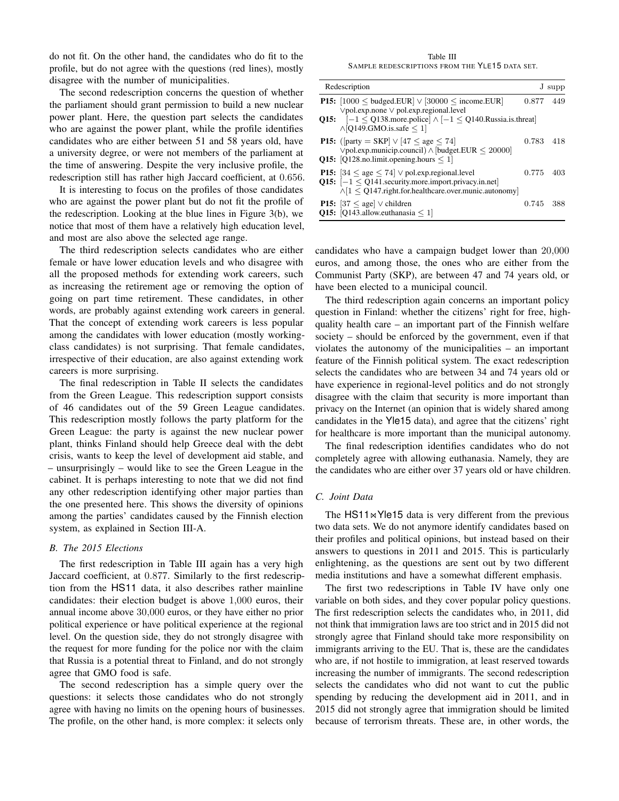do not fit. On the other hand, the candidates who do fit to the profile, but do not agree with the questions (red lines), mostly disagree with the number of municipalities.

The second redescription concerns the question of whether the parliament should grant permission to build a new nuclear power plant. Here, the question part selects the candidates who are against the power plant, while the profile identifies candidates who are either between 51 and 58 years old, have a university degree, or were not members of the parliament at the time of answering. Despite the very inclusive profile, the redescription still has rather high Jaccard coefficient, at 0.656.

It is interesting to focus on the profiles of those candidates who are against the power plant but do not fit the profile of the redescription. Looking at the blue lines in Figure 3(b), we notice that most of them have a relatively high education level, and most are also above the selected age range.

The third redescription selects candidates who are either female or have lower education levels and who disagree with all the proposed methods for extending work careers, such as increasing the retirement age or removing the option of going on part time retirement. These candidates, in other words, are probably against extending work careers in general. That the concept of extending work careers is less popular among the candidates with lower education (mostly workingclass candidates) is not surprising. That female candidates, irrespective of their education, are also against extending work careers is more surprising.

The final redescription in Table II selects the candidates from the Green League. This redescription support consists of 46 candidates out of the 59 Green League candidates. This redescription mostly follows the party platform for the Green League: the party is against the new nuclear power plant, thinks Finland should help Greece deal with the debt crisis, wants to keep the level of development aid stable, and – unsurprisingly – would like to see the Green League in the cabinet. It is perhaps interesting to note that we did not find any other redescription identifying other major parties than the one presented here. This shows the diversity of opinions among the parties' candidates caused by the Finnish election system, as explained in Section III-A.

## *B. The 2015 Elections*

The first redescription in Table III again has a very high Jaccard coefficient, at 0.877. Similarly to the first redescription from the HS11 data, it also describes rather mainline candidates: their election budget is above 1,000 euros, their annual income above 30,000 euros, or they have either no prior political experience or have political experience at the regional level. On the question side, they do not strongly disagree with the request for more funding for the police nor with the claim that Russia is a potential threat to Finland, and do not strongly agree that GMO food is safe.

The second redescription has a simple query over the questions: it selects those candidates who do not strongly agree with having no limits on the opening hours of businesses. The profile, on the other hand, is more complex: it selects only

Table III SAMPLE REDESCRIPTIONS FROM THE YLE15 DATA SET.

| Redescription |                                                                                                                                                                                                                                                           |       | J supp |
|---------------|-----------------------------------------------------------------------------------------------------------------------------------------------------------------------------------------------------------------------------------------------------------|-------|--------|
|               | <b>P15:</b> $[1000 \leq \text{budget. EUR}] \vee [30000 \leq \text{income. EUR}]$<br>$\lor$ pol.exp.none $\lor$ pol.exp.regional.level<br>Q15: $[-1 \leq Q138$ .more.police $] \wedge [-1 \leq Q140$ .Russia.is.threat<br>$\wedge$ [Q149.GMO.is.safe < 1] | 0.877 | 449    |
|               | <b>P15:</b> ([party = SKP] $\vee$ [47 < age < 74]<br>$\lor$ pol.exp.municip.council) $\land$ [budget.EUR < 20000]<br>Q15: [Q128.no.limit.opening.hours $\leq 1$ ]                                                                                         | 0.783 | 418    |
|               | <b>P15:</b> $ 34 \le$ age $\le$ 74 $\vee$ pol.exp.regional.level<br>Q15: $[-1 \leq Q141$ . security. more. import. privacy. in. net<br>$\wedge$ [1 < Q147.right.for.healthcare.over.munic.autonomy]                                                       | 0.775 | 403    |
|               | <b>P15:</b> $[37 \leq$ age] $\vee$ children<br>Q15: [Q143.allow.euthanasia $\leq 1$ ]                                                                                                                                                                     | 0.745 | 388    |

candidates who have a campaign budget lower than 20,000 euros, and among those, the ones who are either from the Communist Party (SKP), are between 47 and 74 years old, or have been elected to a municipal council.

The third redescription again concerns an important policy question in Finland: whether the citizens' right for free, highquality health care – an important part of the Finnish welfare society – should be enforced by the government, even if that violates the autonomy of the municipalities – an important feature of the Finnish political system. The exact redescription selects the candidates who are between 34 and 74 years old or have experience in regional-level politics and do not strongly disagree with the claim that security is more important than privacy on the Internet (an opinion that is widely shared among candidates in the Yle15 data), and agree that the citizens' right for healthcare is more important than the municipal autonomy.

The final redescription identifies candidates who do not completely agree with allowing euthanasia. Namely, they are the candidates who are either over 37 years old or have children.

### *C. Joint Data*

The  $HST1\bowtie Y$ le15 data is very different from the previous two data sets. We do not anymore identify candidates based on their profiles and political opinions, but instead based on their answers to questions in 2011 and 2015. This is particularly enlightening, as the questions are sent out by two different media institutions and have a somewhat different emphasis.

The first two redescriptions in Table IV have only one variable on both sides, and they cover popular policy questions. The first redescription selects the candidates who, in 2011, did not think that immigration laws are too strict and in 2015 did not strongly agree that Finland should take more responsibility on immigrants arriving to the EU. That is, these are the candidates who are, if not hostile to immigration, at least reserved towards increasing the number of immigrants. The second redescription selects the candidates who did not want to cut the public spending by reducing the development aid in 2011, and in 2015 did not strongly agree that immigration should be limited because of terrorism threats. These are, in other words, the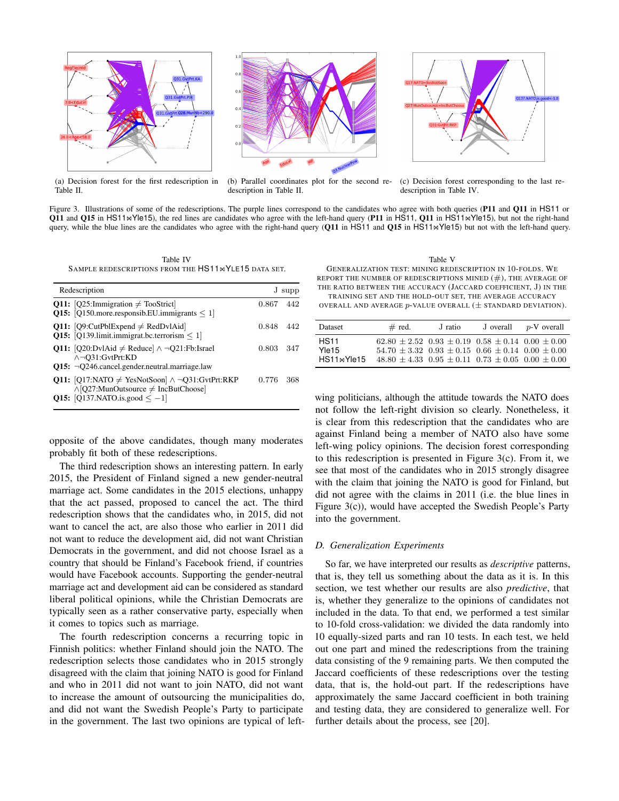

(a) Decision forest for the first redescription in Table II.



(b) Parallel coordinates plot for the second redescription in Table II.



(c) Decision forest corresponding to the last redescription in Table IV.

Figure 3. Illustrations of some of the redescriptions. The purple lines correspond to the candidates who agree with both queries (P11 and Q11 in HS11 or Q11 and Q15 in HS11 $\bowtie$ Yle15), the red lines are candidates who agree with the left-hand query (P11 in HS11, Q11 in HS11 $\bowtie$ Yle15), but not the right-hand query, while the blue lines are the candidates who agree with the right-hand query (Q11 in HS11 and Q15 in HS11<sup>on</sup>Yle15) but not with the left-hand query.

Table IV SAMPLE REDESCRIPTIONS FROM THE HS11<sup>®</sup>YLE15 DATA SET.

| Redescription                                                                                                                          |       | J supp |  |
|----------------------------------------------------------------------------------------------------------------------------------------|-------|--------|--|
| Q11: [Q25:Immigration $\neq$ TooStrict]<br>Q15: [Q150.more.responsib.EU.immigrants $\leq 1$ ]                                          | 0.867 | 442    |  |
| <b>Q11:</b> [Q9:CutPblExpend $\neq$ RedDvlAid]<br>Q15: [Q139.limit.immigrat.bc.terrorism $\leq 1$ ]                                    | 0.848 | 442    |  |
| Q11: [Q20:DvlAid $\neq$ Reduce] $\land \neg Q21$ :Fb:Israel<br>∧¬O31:GvtPrt:KD<br>$Q15: \neg Q246$ .cancel.gender.neutral.marriage.law | 0.803 | 347    |  |
| Q11: [Q17:NATO $\neq$ YesNotSoon] $\land \neg$ Q31:GvtPrt:RKP<br>$\wedge$ [Q27:MunOutsource $\neq$ IncButChoose]                       | 0.776 | 368    |  |
| <b>Q15:</b> [Q137.NATO.is.good $\leq -1$ ]                                                                                             |       |        |  |

opposite of the above candidates, though many moderates probably fit both of these redescriptions.

The third redescription shows an interesting pattern. In early 2015, the President of Finland signed a new gender-neutral marriage act. Some candidates in the 2015 elections, unhappy that the act passed, proposed to cancel the act. The third redescription shows that the candidates who, in 2015, did not want to cancel the act, are also those who earlier in 2011 did not want to reduce the development aid, did not want Christian Democrats in the government, and did not choose Israel as a country that should be Finland's Facebook friend, if countries would have Facebook accounts. Supporting the gender-neutral marriage act and development aid can be considered as standard liberal political opinions, while the Christian Democrats are typically seen as a rather conservative party, especially when it comes to topics such as marriage.

The fourth redescription concerns a recurring topic in Finnish politics: whether Finland should join the NATO. The redescription selects those candidates who in 2015 strongly disagreed with the claim that joining NATO is good for Finland and who in 2011 did not want to join NATO, did not want to increase the amount of outsourcing the municipalities do, and did not want the Swedish People's Party to participate in the government. The last two opinions are typical of left-

Table V

GENERALIZATION TEST: MINING REDESCRIPTION IN 10-FOLDS. WE REPORT THE NUMBER OF REDESCRIPTIONS MINED  $(\#),$  THE AVERAGE OF THE RATIO BETWEEN THE ACCURACY (JACCARD COEFFICIENT, J) IN THE TRAINING SET AND THE HOLD-OUT SET, THE AVERAGE ACCURACY

OVERALL AND AVERAGE  $p$ -VALUE OVERALL ( $\pm$  STANDARD DEVIATION).

| Dataset                                         | $#$ red.                                                                                                                                                                                                 | J ratio | J overall | $p$ -V overall |
|-------------------------------------------------|----------------------------------------------------------------------------------------------------------------------------------------------------------------------------------------------------------|---------|-----------|----------------|
| <b>HS11</b><br>Yle15<br>HS11 <sub>M</sub> Yle15 | $62.80 \pm 2.52$ $0.93 \pm 0.19$ $0.58 \pm 0.14$ $0.00 \pm 0.00$<br>$54.70 \pm 3.32$ $0.93 \pm 0.15$ $0.66 \pm 0.14$ $0.00 \pm 0.00$<br>$48.80 \pm 4.33$ $0.95 \pm 0.11$ $0.73 \pm 0.05$ $0.00 \pm 0.00$ |         |           |                |

wing politicians, although the attitude towards the NATO does not follow the left-right division so clearly. Nonetheless, it is clear from this redescription that the candidates who are against Finland being a member of NATO also have some left-wing policy opinions. The decision forest corresponding to this redescription is presented in Figure 3(c). From it, we see that most of the candidates who in 2015 strongly disagree with the claim that joining the NATO is good for Finland, but did not agree with the claims in 2011 (i.e. the blue lines in Figure 3(c)), would have accepted the Swedish People's Party into the government.

# *D. Generalization Experiments*

So far, we have interpreted our results as *descriptive* patterns, that is, they tell us something about the data as it is. In this section, we test whether our results are also *predictive*, that is, whether they generalize to the opinions of candidates not included in the data. To that end, we performed a test similar to 10-fold cross-validation: we divided the data randomly into 10 equally-sized parts and ran 10 tests. In each test, we held out one part and mined the redescriptions from the training data consisting of the 9 remaining parts. We then computed the Jaccard coefficients of these redescriptions over the testing data, that is, the hold-out part. If the redescriptions have approximately the same Jaccard coefficient in both training and testing data, they are considered to generalize well. For further details about the process, see [20].